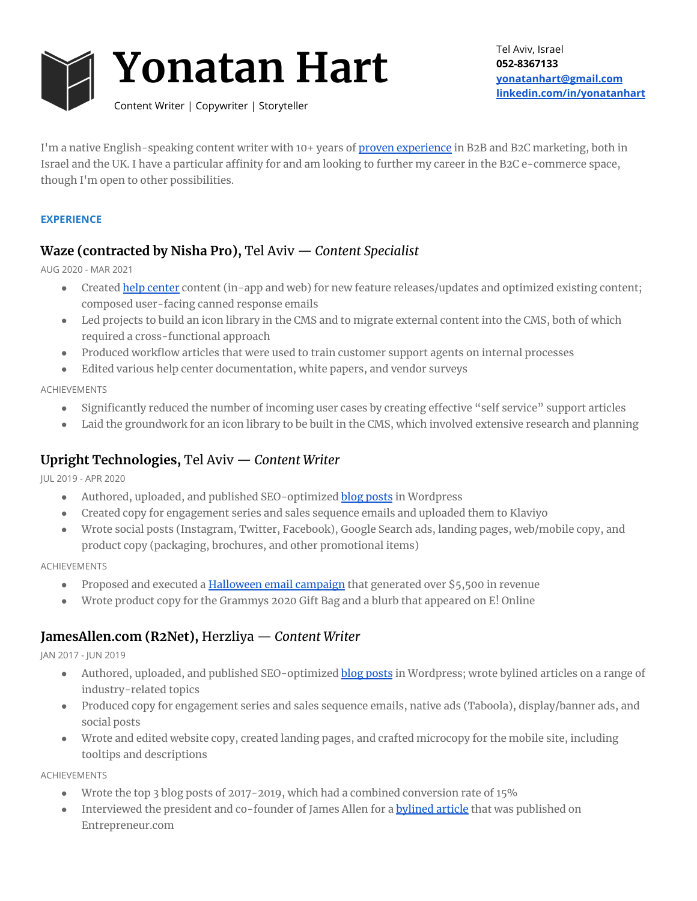

Content Writer | Copywriter | Storyteller

I'm a native English-speaking content writer with 10+ years of proven [experience](http://www.yonatanhart.com/) in B2B and B2C marketing, both in Israel and the UK. I have a particular affinity for and am looking to further my career in the B2C e-commerce space, though I'm open to other possibilities.

### **EXPERIENCE**

# **Waze (contracted by Nisha Pro),** Tel Aviv — *Content Specialist*

AUG 2020 - MAR 2021

- Created help [center](https://support.google.com/waze/) content (in-app and web) for new feature releases/updates and optimized existing content; composed user-facing canned response emails
- Led projects to build an icon library in the CMS and to migrate external content into the CMS, both of which required a cross-functional approach
- Produced workflow articles that were used to train customer support agents on internal processes
- Edited various help center documentation, white papers, and vendor surveys

ACHIEVEMENTS

- Significantly reduced the number of incoming user cases by creating effective "self service" support articles
- Laid the groundwork for an icon library to be built in the CMS, which involved extensive research and planning

### **Upright Technologies,** Tel Aviv — *Content Writer*

JUL 2019 - APR 2020

- Authored, uploaded, and published SEO-optimized blog [posts](https://www.uprightpose.com/blog/) in Wordpress
- Created copy for engagement series and sales sequence emails and uploaded them to Klaviyo
- Wrote social posts (Instagram, Twitter, Facebook), Google Search ads, landing pages, web/mobile copy, and product copy (packaging, brochures, and other promotional items)

#### ACHIEVEMENTS

- Proposed and executed a [Halloween](http://www.yonatanhart.com/portfolio/emails) email campaign that generated over \$5,500 in revenue
- Wrote product copy for the Grammys 2020 Gift Bag and a blurb that appeared on E! Online

### **JamesAllen.com (R2Net),** Herzliya — *Content Writer*

JAN 2017 - JUN 2019

- Authored, uploaded, and published SEO-optimized blog [posts](https://blog.jamesallen.com/author/yonatan-hart/) in Wordpress; wrote bylined articles on a range of industry-related topics
- Produced copy for engagement series and sales sequence emails, native ads (Taboola), display/banner ads, and social posts
- Wrote and edited website copy, created landing pages, and crafted microcopy for the mobile site, including tooltips and descriptions

ACHIEVEMENTS

- Wrote the top 3 blog posts of 2017-2019, which had a combined conversion rate of 15%
- Interviewed the president and co-founder of James Allen for a **[bylined](https://www.entrepreneur.com/article/295890) article** that was published on Entrepreneur.com